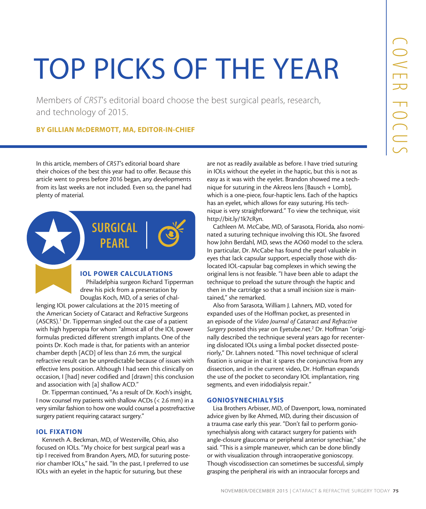# TOP PICKS OF THE YEAR

Members of *CRST*'s editorial board choose the best surgical pearls, research, and technology of 2015.

# BY GILLIAN McDERMOTT, MA, EDITOR-IN-CHIEF

In this article, members of *CRST*'s editorial board share their choices of the best this year had to offer. Because this article went to press before 2016 began, any developments from its last weeks are not included. Even so, the panel had plenty of material.



# IOL POWER CALCULATIONS

Philadelphia surgeon Richard Tipperman drew his pick from a presentation by Douglas Koch, MD, of a series of chal-

lenging IOL power calculations at the 2015 meeting of the American Society of Cataract and Refractive Surgeons (ASCRS).<sup>1</sup> Dr. Tipperman singled out the case of a patient with high hyperopia for whom "almost all of the IOL power formulas predicted different strength implants. One of the points Dr. Koch made is that, for patients with an anterior chamber depth [ACD] of less than 2.6 mm, the surgical refractive result can be unpredictable because of issues with effective lens position. Although I had seen this clinically on occasion, I [had] never codified and [drawn] this conclusion and association with [a] shallow ACD."

Dr. Tipperman continued, "As a result of Dr. Koch's insight, I now counsel my patients with shallow ACDs (< 2.6 mm) in a very similar fashion to how one would counsel a postrefractive surgery patient requiring cataract surgery."

# IOL FIXATION

Kenneth A. Beckman, MD, of Westerville, Ohio, also focused on IOLs. "My choice for best surgical pearl was a tip I received from Brandon Ayers, MD, for suturing posterior chamber IOLs," he said. "In the past, I preferred to use IOLs with an eyelet in the haptic for suturing, but these

are not as readily available as before. I have tried suturing in IOLs without the eyelet in the haptic, but this is not as easy as it was with the eyelet. Brandon showed me a technique for suturing in the Akreos lens [Bausch + Lomb], which is a one-piece, four-haptic lens. Each of the haptics has an eyelet, which allows for easy suturing. His technique is very straightforward." To view the technique, visit http://bit.ly/1k7cRyn.

Cathleen M. McCabe, MD, of Sarasota, Florida, also nominated a suturing technique involving this IOL. She favored how John Berdahl, MD, sews the AO60 model to the sclera. In particular, Dr. McCabe has found the pearl valuable in eyes that lack capsular support, especially those with dislocated IOL-capsular bag complexes in which sewing the original lens is not feasible. "I have been able to adapt the technique to preload the suture through the haptic and then in the cartridge so that a small incision size is maintained," she remarked.

**Novellet**<br>
St surgical pearls, research,<br>
St surgical pearls, research,<br>
The straight available as before have tried surving<br>
as without the eyelet in the haptic, but this is not as<br>
is with the eyelet of the factor surv Also from Sarasota, William J. Lahners, MD, voted for expanded uses of the Hoffman pocket, as presented in an episode of the *Video Journal of Cataract and Refractive*  Surgery posted this year on Eyetube.net.<sup>2</sup> Dr. Hoffman "originally described the technique several years ago for recentering dislocated IOLs using a limbal pocket dissected posteriorly," Dr. Lahners noted. "This novel technique of scleral fixation is unique in that it spares the conjunctiva from any dissection, and in the current video, Dr. Hoffman expands the use of the pocket to secondary IOL implantation, ring segments, and even iridodialysis repair."

#### GONIOSYNECHIALYSIS

Lisa Brothers Arbisser, MD, of Davenport, Iowa, nominated advice given by Ike Ahmed, MD, during their discussion of a trauma case early this year. "Don't fail to perform goniosynechialysis along with cataract surgery for patients with angle-closure glaucoma or peripheral anterior synechiae," she said. "This is a simple maneuver, which can be done blindly or with visualization through intraoperative gonioscopy. Though viscodissection can sometimes be successful, simply grasping the peripheral iris with an intraocular forceps and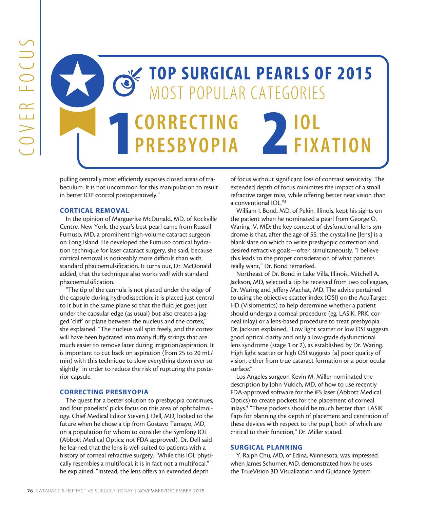

pulling centrally most efficiently exposes closed areas of trabeculum. It is not uncommon for this manipulation to result in better IOP control postoperatively."

# CORTICAL REMOVAL

In the opinion of Marguerite McDonald, MD, of Rockville Centre, New York, the year's best pearl came from Russell Fumuso, MD, a prominent high-volume cataract surgeon on Long Island. He developed the Fumuso cortical hydration technique for laser cataract surgery, she said, because cortical removal is noticeably more difficult than with standard phacoemulsification. It turns out, Dr. McDonald added, that the technique also works well with standard phacoemulsification.

"The tip of the cannula is not placed under the edge of the capsule during hydrodissection; it is placed just central to it but in the same plane so that the fluid jet goes just under the capsular edge (as usual) but also creates a jagged 'cliff' or plane between the nucleus and the cortex," she explained. "The nucleus will spin freely, and the cortex will have been hydrated into many fluffy strings that are much easier to remove later during irrigation/aspiration. It is important to cut back on aspiration (from 25 to 20 mL/ min) with this technique to slow everything down ever so slightly" in order to reduce the risk of rupturing the posterior capsule.

#### CORRECTING PRESBYOPIA

The quest for a better solution to presbyopia continues, and four panelists' picks focus on this area of ophthalmology. Chief Medical Editor Steven J. Dell, MD, looked to the future when he chose a tip from Gustavo Tamayo, MD, on a population for whom to consider the Symfony IOL (Abbott Medical Optics; not FDA approved). Dr. Dell said he learned that the lens is well suited to patients with a history of corneal refractive surgery. "While this IOL physically resembles a multifocal, it is in fact not a multifocal," he explained. "Instead, the lens offers an extended depth

of focus without significant loss of contrast sensitivity. The extended depth of focus minimizes the impact of a small refractive target miss, while offering better near vision than a conventional IOL."3

William I. Bond, MD, of Pekin, Illinois, kept his sights on the patient when he nominated a pearl from George O. Waring IV, MD: the key concept of dysfunctional lens syndrome is that, after the age of 55, the crystalline [lens] is a blank slate on which to write presbyopic correction and desired refractive goals—often simultaneously. "I believe this leads to the proper consideration of what patients really want," Dr. Bond remarked.

Northeast of Dr. Bond in Lake Villa, Illinois, Mitchell A. Jackson, MD, selected a tip he received from two colleagues, Dr. Waring and Jeffery Machat, MD. The advice pertained to using the objective scatter index (OSI) on the AcuTarget HD (Visiometrics) to help determine whether a patient should undergo a corneal procedure (eg, LASIK, PRK, corneal inlay) or a lens-based procedure to treat presbyopia. Dr. Jackson explained, "Low light scatter or low OSI suggests good optical clarity and only a low-grade dysfunctional lens syndrome (stage 1 or 2), as established by Dr. Waring. High light scatter or high OSI suggests [a] poor quality of vision, either from true cataract formation or a poor ocular surface."

Los Angeles surgeon Kevin M. Miller nominated the description by John Vukich, MD, of how to use recently FDA-approved software for the iFS laser (Abbott Medical Optics) to create pockets for the placement of corneal inlays.4 "These pockets should be much better than LASIK flaps for planning the depth of placement and centration of these devices with respect to the pupil, both of which are critical to their function," Dr. Miller stated.

#### SURGICAL PLANNING

Y. Ralph Chu, MD, of Edina, Minnesota, was impressed when James Schumer, MD, demonstrated how he uses the TrueVision 3D Visualization and Guidance System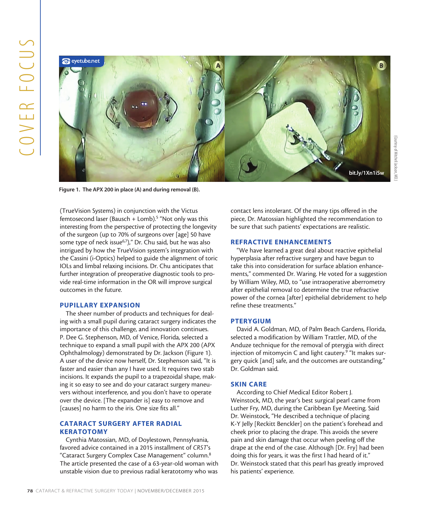

Figure 1. The APX 200 in place (A) and during removal (B).

(TrueVision Systems) in conjunction with the Victus femtosecond laser (Bausch + Lomb).<sup>5</sup> "Not only was this interesting from the perspective of protecting the longevity of the surgeon (up to 70% of surgeons over [age] 50 have some type of neck issue $6,7$ ," Dr. Chu said, but he was also intrigued by how the TrueVision system's integration with the Cassini (i-Optics) helped to guide the alignment of toric IOLs and limbal relaxing incisions. Dr. Chu anticipates that further integration of preoperative diagnostic tools to provide real-time information in the OR will improve surgical outcomes in the future.

# PUPILLARY EXPANSION

The sheer number of products and techniques for dealing with a small pupil during cataract surgery indicates the importance of this challenge, and innovation continues. P. Dee G. Stephenson, MD, of Venice, Florida, selected a technique to expand a small pupil with the APX 200 (APX Ophthalmology) demonstrated by Dr. Jackson (Figure 1). A user of the device now herself, Dr. Stephenson said, "It is faster and easier than any I have used. It requires two stab incisions. It expands the pupil to a trapezoidal shape, making it so easy to see and do your cataract surgery maneuvers without interference, and you don't have to operate over the device. [The expander is] easy to remove and [causes] no harm to the iris. One size fits all."

# CATARACT SURGERY AFTER RADIAL **KERATOTOMY**

Cynthia Matossian, MD, of Doylestown, Pennsylvania, favored advice contained in a 2015 installment of *CRST*'s "Cataract Surgery Complex Case Management" column.8 The article presented the case of a 63-year-old woman with unstable vision due to previous radial keratotomy who was contact lens intolerant. Of the many tips offered in the piece, Dr. Matossian highlighted the recommendation to be sure that such patients' expectations are realistic.

# REFRACTIVE ENHANCEMENTS

"We have learned a great deal about reactive epithelial hyperplasia after refractive surgery and have begun to take this into consideration for surface ablation enhancements," commented Dr. Waring. He voted for a suggestion by William Wiley, MD, to "use intraoperative aberrometry after epithelial removal to determine the true refractive power of the cornea [after] epithelial debridement to help refine these treatments."

#### PTERYGIUM

David A. Goldman, MD, of Palm Beach Gardens, Florida, selected a modification by William Trattler, MD, of the Anduze technique for the removal of pterygia with direct injection of mitomycin C and light cautery.<sup>9</sup> "It makes surgery quick [and] safe, and the outcomes are outstanding," Dr. Goldman said.

#### SKIN CARE

According to Chief Medical Editor Robert J. Weinstock, MD, the year's best surgical pearl came from Luther Fry, MD, during the Caribbean Eye Meeting. Said Dr. Weinstock, "He described a technique of placing K-Y Jelly [Reckitt Benckler] on the patient's forehead and cheek prior to placing the drape. This avoids the severe pain and skin damage that occur when peeling off the drape at the end of the case. Although [Dr. Fry] had been doing this for years, it was the first I had heard of it." Dr. Weinstock stated that this pearl has greatly improved his patients' experience.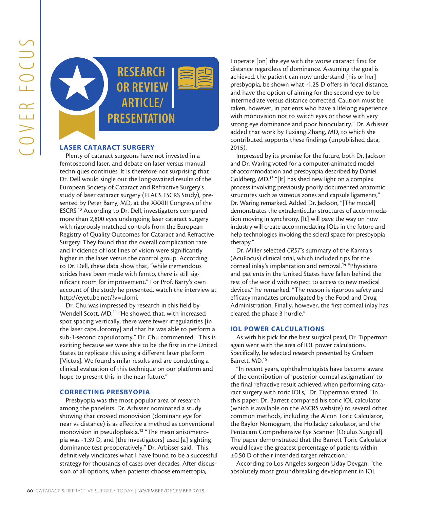

# LASER CATARACT SURGERY

**EXERCISE AND SECTION AND SECTION CONSULTERANCE SURGERY CONSULTER AND SECTION ARTICLES (SET AND SECTION AND SECTION AND SECTION CONSULTERANCE SURGERY TO CONSULTER (SET AND SECTION AND SECTION AND SECTION AND SECTION AND S** Plenty of cataract surgeons have not invested in a femtosecond laser, and debate on laser versus manual techniques continues. It is therefore not surprising that Dr. Dell would single out the long-awaited results of the European Society of Cataract and Refractive Surgery's study of laser cataract surgery (FLACS ESCRS Study), presented by Peter Barry, MD, at the XXXIII Congress of the ESCRS.10 According to Dr. Dell, investigators compared more than 2,800 eyes undergoing laser cataract surgery with rigorously matched controls from the European Registry of Quality Outcomes for Cataract and Refractive Surgery. They found that the overall complication rate and incidence of lost lines of vision were significantly higher in the laser versus the control group. According to Dr. Dell, these data show that, "while tremendous strides have been made with femto, there is still significant room for improvement." For Prof. Barry's own account of the study he presented, watch the interview at http://eyetube.net/?v=ulomi.

Dr. Chu was impressed by research in this field by Wendell Scott, MD.<sup>11</sup> "He showed that, with increased spot spacing vertically, there were fewer irregularities [in the laser capsulotomy] and that he was able to perform a sub-1-second capsulotomy," Dr. Chu commented. "This is exciting because we were able to be the first in the United States to replicate this using a different laser platform [Victus]. We found similar results and are conducting a clinical evaluation of this technique on our platform and hope to present this in the near future."

# CORRECTING PRESBYOPIA

Presbyopia was the most popular area of research among the panelists. Dr. Arbisser nominated a study showing that crossed monovision (dominant eye for near vs distance) is as effective a method as conventional monovision in pseudophakia.12 "The mean anisometropia was -1.39 D, and [the investigators] used [a] sighting dominance test preoperatively," Dr. Arbisser said. "This definitively vindicates what I have found to be a successful strategy for thousands of cases over decades. After discussion of all options, when patients choose emmetropia,

I operate [on] the eye with the worse cataract first for distance regardless of dominance. Assuming the goal is achieved, the patient can now understand [his or her] presbyopia, be shown what -1.25 D offers in focal distance, and have the option of aiming for the second eye to be intermediate versus distance corrected. Caution must be taken, however, in patients who have a lifelong experience with monovision not to switch eyes or those with very strong eye dominance and poor binocularity." Dr. Arbisser added that work by Fuxiang Zhang, MD, to which she contributed supports these findings (unpublished data, 2015).

Impressed by its promise for the future, both Dr. Jackson and Dr. Waring voted for a computer-animated model of accommodation and presbyopia described by Daniel Goldberg, MD.13 "[It] has shed new light on a complex process involving previously poorly documented anatomic structures such as vitreous zones and capsule ligaments," Dr. Waring remarked. Added Dr. Jackson, "[The model] demonstrates the extralenticular structures of accommodation moving in synchrony. [It] will pave the way on how industry will create accommodating IOLs in the future and help technologies invoking the scleral space for presbyopia therapy."

Dr. Miller selected *CRST*'s summary of the Kamra's (AcuFocus) clinical trial, which included tips for the corneal inlay's implantation and removal.<sup>14</sup> "Physicians and patients in the United States have fallen behind the rest of the world with respect to access to new medical devices," he remarked. "The reason is rigorous safety and efficacy mandates promulgated by the Food and Drug Administration. Finally, however, the first corneal inlay has cleared the phase 3 hurdle."

# IOL POWER CALCULATIONS

As with his pick for the best surgical pearl, Dr. Tipperman again went with the area of IOL power calculations. Specifically, he selected research presented by Graham Barrett, MD.15

"In recent years, ophthalmologists have become aware of the contribution of 'posterior corneal astigmatism' to the final refractive result achieved when performing cataract surgery with toric IOLs," Dr. Tipperman stated. "In this paper, Dr. Barrett compared his toric IOL calculator (which is available on the ASCRS website) to several other common methods, including the Alcon Toric Calculator, the Baylor Nomogram, the Holladay calculator, and the Pentacam Comprehensive Eye Scanner [Oculus Surgical]. The paper demonstrated that the Barrett Toric Calculator would leave the greatest percentage of patients within ±0.50 D of their intended target refraction."

According to Los Angeles surgeon Uday Devgan, "the absolutely most groundbreaking development in IOL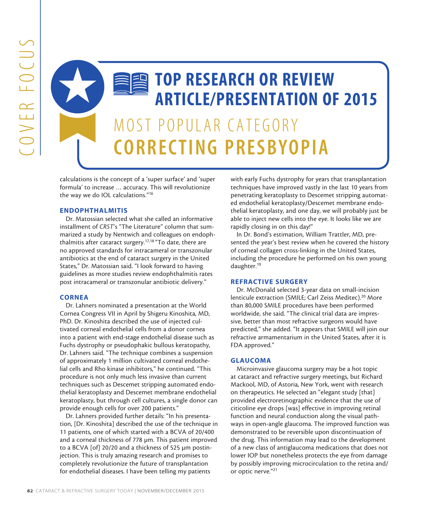

calculations is the concept of a 'super surface' and 'super formula' to increase … accuracy. This will revolutionize the way we do IOL calculations."16

# ENDOPHTHALMITIS

Dr. Matossian selected what she called an informative installment of *CRST*'s "The Literature" column that summarized a study by Nentwich and colleagues on endophthalmitis after cataract surgery.17,18 "To date, there are no approved standards for intracameral or transzonular antibiotics at the end of cataract surgery in the United States," Dr. Matossian said. "I look forward to having guidelines as more studies review endophthalmitis rates post intracameral or transzonular antibiotic delivery."

# **CORNEA**

Dr. Lahners nominated a presentation at the World Cornea Congress VII in April by Shigeru Kinoshita, MD, PhD. Dr. Kinoshita described the use of injected cultivated corneal endothelial cells from a donor cornea into a patient with end-stage endothelial disease such as Fuchs dystrophy or pseudophakic bullous keratopathy, Dr. Lahners said. "The technique combines a suspension of approximately 1 million cultivated corneal endothelial cells and Rho kinase inhibitors," he continued. "This procedure is not only much less invasive than current techniques such as Descemet stripping automated endothelial keratoplasty and Descemet membrane endothelial keratoplasty, but through cell cultures, a single donor can provide enough cells for over 200 patients."

Dr. Lahners provided further details: "In his presentation, [Dr. Kinoshita] described the use of the technique in 11 patients, one of which started with a BCVA of 20/400 and a corneal thickness of 778 µm. This patient improved to a BCVA [of] 20/20 and a thickness of 525 µm postinjection. This is truly amazing research and promises to completely revolutionize the future of transplantation for endothelial diseases. I have been telling my patients

with early Fuchs dystrophy for years that transplantation techniques have improved vastly in the last 10 years from penetrating keratoplasty to Descemet stripping automated endothelial keratoplasty/Descemet membrane endothelial keratoplasty, and one day, we will probably just be able to inject new cells into the eye. It looks like we are rapidly closing in on this day!"

In Dr. Bond's estimation, William Trattler, MD, presented the year's best review when he covered the history of corneal collagen cross-linking in the United States, including the procedure he performed on his own young daughter.19

#### REFRACTIVE SURGERY

Dr. McDonald selected 3-year data on small-incision lenticule extraction (SMILE; Carl Zeiss Meditec).20 More than 80,000 SMILE procedures have been performed worldwide, she said. "The clinical trial data are impressive, better than most refractive surgeons would have predicted," she added. "It appears that SMILE will join our refractive armamentarium in the United States, after it is FDA approved."

# GLAUCOMA

Microinvasive glaucoma surgery may be a hot topic at cataract and refractive surgery meetings, but Richard Mackool, MD, of Astoria, New York, went with research on therapeutics. He selected an "elegant study [that] provided electroretinographic evidence that the use of citicoline eye drops [was] effective in improving retinal function and neural conduction along the visual pathways in open-angle glaucoma. The improved function was demonstrated to be reversible upon discontinuation of the drug. This information may lead to the development of a new class of antiglaucoma medications that does not lower IOP but nonetheless protects the eye from damage by possibly improving microcirculation to the retina and/ or optic nerve."21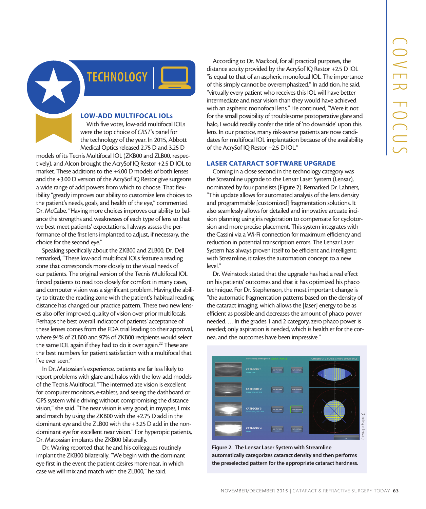

# LOW-ADD MULTIFOCAL IOLs

With five votes, low-add multifocal IOLs were the top choice of *CRST*'s panel for the technology of the year. In 2015, Abbott Medical Optics released 2.75 D and 3.25 D

models of its Tecnis Multifocal IOL (ZKB00 and ZLB00, respectively), and Alcon brought the AcrySof IQ Restor +2.5 D IOL to market. These additions to the +4.00 D models of both lenses and the +3.00 D version of the AcrySof IQ Restor give surgeons a wide range of add powers from which to choose. That flexibility "greatly improves our ability to customize lens choices to the patient's needs, goals, and health of the eye," commented Dr. McCabe. "Having more choices improves our ability to balance the strengths and weaknesses of each type of lens so that we best meet patients' expectations. I always assess the performance of the first lens implanted to adjust, if necessary, the choice for the second eye."

Speaking specifically about the ZKB00 and ZLB00, Dr. Dell remarked, "These low-add multifocal IOLs feature a reading zone that corresponds more closely to the visual needs of our patients. The original version of the Tecnis Multifocal IOL forced patients to read too closely for comfort in many cases, and computer vision was a significant problem. Having the ability to titrate the reading zone with the patient's habitual reading distance has changed our practice pattern. These two new lenses also offer improved quality of vision over prior multifocals. Perhaps the best overall indicator of patients' acceptance of these lenses comes from the FDA trial leading to their approval, where 94% of ZLB00 and 97% of ZKB00 recipients would select the same IOL again if they had to do it over again.<sup>22</sup> These are the best numbers for patient satisfaction with a multifocal that I've ever seen."

In Dr. Matossian's experience, patients are far less likely to report problems with glare and halos with the low-add models of the Tecnis Multifocal. "The intermediate vision is excellent for computer monitors, e-tablets, and seeing the dashboard or GPS system while driving without compromising the distance vision," she said. "The near vision is very good; in myopes, I mix and match by using the ZKB00 with the +2.75 D add in the dominant eye and the ZLB00 with the +3.25 D add in the nondominant eye for excellent near vision." For hyperopic patients, Dr. Matossian implants the ZKB00 bilaterally.

Dr. Waring reported that he and his colleagues routinely implant the ZKB00 bilaterally. "We begin with the dominant eye first in the event the patient desires more near, in which case we will mix and match with the ZLB00," he said.

According to Dr. Mackool, for all practical purposes, the distance acuity provided by the AcrySof IQ Restor +2.5 D IOL "is equal to that of an aspheric monofocal IOL. The importance of this simply cannot be overemphasized." In addition, he said, "virtually every patient who receives this IOL will have better intermediate and near vision than they would have achieved with an aspheric monofocal lens." He continued, "Were it not for the small possibility of troublesome postoperative glare and halo, I would readily confer the title of 'no downside' upon this lens. In our practice, many risk-averse patients are now candidates for multifocal IOL implantation because of the availability of the AcrySof IQ Restor +2.5 D IOL."

# LASER CATARACT SOFTWARE UPGRADE

cording to Dr. Mackool, for all practical purposes the<br>
ex active) provided by the ArtySof (Q Restor +2.5 D OU,<br>
and to that a ran spheric monofocial (OL. The importance<br>
simply expressive the overtore phasical (in additio Coming in a close second in the technology category was the Streamline upgrade to the Lensar Laser System (Lensar), nominated by four panelists (Figure 2). Remarked Dr. Lahners, "This update allows for automated analysis of the lens density and programmable [customized] fragmentation solutions. It also seamlessly allows for detailed and innovative arcuate incision planning using iris registration to compensate for cyclotorsion and more precise placement. This system integrates with the Cassini via a Wi-Fi connection for maximum efficiency and reduction in potential transcription errors. The Lensar Laser System has always proven itself to be efficient and intelligent; with Streamline, it takes the automation concept to a new level."

Dr. Weinstock stated that the upgrade has had a real effect on his patients' outcomes and that it has optimized his phaco technique. For Dr. Stephenson, the most important change is "the automatic fragmentation patterns based on the density of the cataract imaging, which allows the [laser] energy to be as efficient as possible and decreases the amount of phaco power needed. … In the grades 1 and 2 category, zero phaco power is needed; only aspiration is needed, which is healthier for the cornea, and the outcomes have been impressive."



Figure 2. The Lensar Laser System with Streamline automatically categorizes cataract density and then performs the preselected pattern for the appropriate cataract hardness.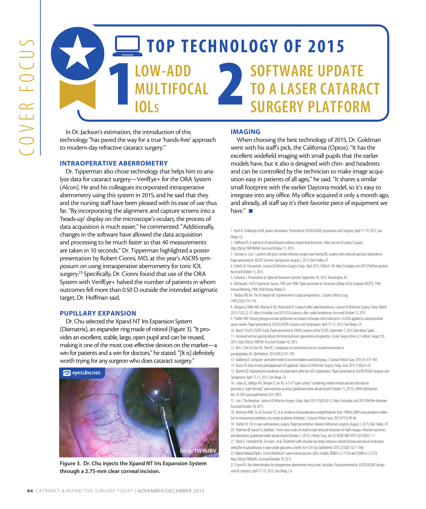# TOP TECHNOLOGY OF 2015 TREADD SERVICE TREADS MULTIFOCAL IOLs SOFTWARE UPDATE TO A LASER CATARACT SURGERY PLATFORM

In Dr. Jackson's estimation, the introduction of this technology "has paved the way for a true 'hands-free' approach to modern-day refractive cataract surgery."

#### INTRAOPERATIVE ABERROMETRY

**EXAMPLE AND MULTIFOCAL CATABOT SURGERY TODAY IN SURFACTIVE SURGERY TOO AND MULTIFOCAL CAN ARROW CONTINUOUS**<br>
In Dr. Jackbook This parameter and context superpression comparison that the substitute of the CAN ARROW COVER ( Dr. Tipperman also chose technology that helps him to analyze data for cataract surgery—VerifEye+ for the ORA System (Alcon). He and his colleagues incorporated intraoperative aberrometry using this system in 2015, and he said that they and the nursing staff have been pleased with its ease of use thus far. "By incorporating the alignment and capture screens into a 'heads-up' display on the microscope's oculars, the process of data acquisition is much easier," he commented. "Additionally, changes in the software have allowed the data acquisition and processing to be much faster so that 40 measurements are taken in 10 seconds." Dr. Tipperman highlighted a poster presentation by Robert Cionni, MD, at this year's ASCRS symposium on using intraoperative aberrometry for toric IOL surgery.<sup>23</sup> Specifically, Dr. Cionni found that use of the ORA System with VerifEye+ halved the number of patients in whom outcomes fell more than 0.50 D outside the intended astigmatic target, Dr. Hoffman said.

# PUPILLARY EXPANSION

Dr. Chu selected the Xpand NT Iris Expansion System (Diamatrix), an expander ring made of nitinol (Figure 3). "It provides an excellent, stable, large, open pupil and can be reused, making it one of the most cost-effective devices on the market—a win for patients and a win for doctors," he stated. "[It is] definitely worth trying for any surgeon who does cataract surgery."



Figure 3. Dr. Chu injects the Xpand NT Iris Expansion System through a 2.75-mm clear corneal incision.

#### IMAGING

When choosing the best technology of 2015, Dr. Goldman went with his staff's pick, the California (Optos). "It has the excellent widefield imaging with small pupils that the earlier models have, but it also is designed with chin- and headrests and can be controlled by the technician to make image acquisition easy in patients of all ages," he said. "It shares a similar small footprint with the earlier Daytona model, so it's easy to integrate into any office. My office acquired it only a month ago, and already, all staff say it's their favorite piece of equipment we have."  $\blacksquare$ 

- 1. Koch D. Challenges In IOL power calculations. Presented at: ASCRS/ASOA Symposium and Congress; April 17-19, 2015; San Diego, CA.
- 2. Hoffman RS. A spectrum of scleral fixation without conjunctival dissection. *Video Journal of Cataract Surgery*. http://bit.ly/1MF9WbM. Accessed October 15, 2015.
- 3. Tamayo G. Case 1: patient with prior corneal refractive surgery now having IOL surgery seeks reduced spectacle dependence. Paper presented at: AECOS Summer Symposium; August 2, 2015; Deer Valley, UT.
- 4. Vukich JA. Hot pockets. *Cataract & Refractive Surgery Today*. April 2015;15(4):47-49. http://crstoday.com/2015/04/hot-pockets. Accessed October 15, 2015.
- 5. Schumer J. Presentation at: Optimal Outcomes Summit; September 19, 2015; Washington, DC.
- 6. McDonald J. ACES Ergonomic Survey, 1995 and 1996. Paper presented at: American College of Eye Surgeons (ACES), 1996 Annual Meeting; 1996; Walt Disney World, FL.
- 7. Wallace RB 3rd. The 45 degree tilt: improvement in surgical ergonomics. *J Cataract Refract Surg*.
- 1999;25(2):174-176.
- 8. Devgan U, Miller KM, Waring IV GO, Weinstock RJ. Cataracts after radial keratotomy. *Cataract & Refractive Surgery Today*. March 2015;15(3):22-25. http://crstoday.com/2015/03/cataracts-after-radial-keratotomy. Accessed October 15, 2015.
- 9. Trattler WB. Primary pterygia excision performed via Anduze technique with mitomycin-c 0.02% applied to subconjunctival space: review. Paper presented at: ASCRS/ASOA Congress and Symposium; April 17-21, 2015; San Diego, CA.
- 10. Barry P. FLACS ESCRS Study. Paper presented at: XXXIII Congress of the ESCRS; September 7, 2015; Barcelona, Spain.
- 11. Increased vertical spacing reduces femtosecond laser capsulotomy irregularities. *Ocular Surgery News U.S. edition*. August 10, 2015. http://bit.ly/1OIR1Ni. Accessed October 16, 2015.
- 12. Kim J, Shin HJ, Kim HC, Shin KC. Comparison of conventional versus crossed monovision in pseudophakia. *Br J Ophthalmol*.2015;99(3):391-395.
- 13. Goldberg D. Computer-animated model of accommodation and presbyopia. *J Cataract Refract Surg*. 2015;41:437-445.
- 14. Koury CB. Inlay to treat presbyopia gets US approval. *Cataract & Refractive Surgery Today*. June 2015;15(6):61-63.
- 15. Barrett GD. Improving the prediction of astigmatism after toric IOL implantation. Paper presented at: ASCRS/ASOA Congress and Symposium; April 17-21, 2015; San Diego, CA.
- 16. Ladas JG, Siddiqui AA, Devgan U, Jun AS. A 3-D "super surface" combining modern intraocular lens formulas to generate a "super formula" and maximize accuracy [published online ahead of print October 15, 2015]. *JAMA Ophthalmol*. doi: 10.1001/jamaophthalmol.2015.3832.
- 17. Loh J. The literature. *Cataract & Refractive Surgery Today*. April 2015;15(4):30-32. http://crstoday.com/2015/04/the-literature. Accessed October 18, 2015.
- 18. Nentwich MM, Ta CN, Kreutzer TC, et al. Incidence of postoperative endophthalmitis from 1990 to 2009 using povidone-iodine but no intracameral antibiotics at a single academic institution. *J Cataract Refract Surg*. 2015;41(1):58-66.
- 19. Trattler W. CXL in eyes with previous surgery. Paper presented at: Advance Refractive Congress; August 2, 2015; Deer Valley, UT. 20. Pederson IB, Ivarsen A, Hjortdal J. Three-year results of small incision lenticule extraction for high myopia: refractive outcomes
- and aberrations [published online ahead of print October 2, 2015]. *J Refract Surg*. doi:10.3928/1081597X-20150923-11. 21. Parisi V, Centofanti M, Ziccardi L, et al. Treatment with citicoline eye drops enhances retinal function and neural conduction along the visual pathways in open angle glaucoma. *Graefes Arch Clin Exp Ophthalmol*. 2015;253(8):1327-1340.
- 22. Abbott Medical Optics. Tecnis Multifocal 1-piece intraocular lens (IOL)-models ZKB00 (+2.75 D) and ZLB00 (+3.25 D). http://bit.ly/1NQ9sRG. Accessed October 19, 2015.
- 23. Cionni RJ. Axis determination by intraoperative aberrometry versus toric calculator. Poster presented at: ASCRS/ASOA Symposium & Congress; April 17-19, 2015; San Diego, CA.